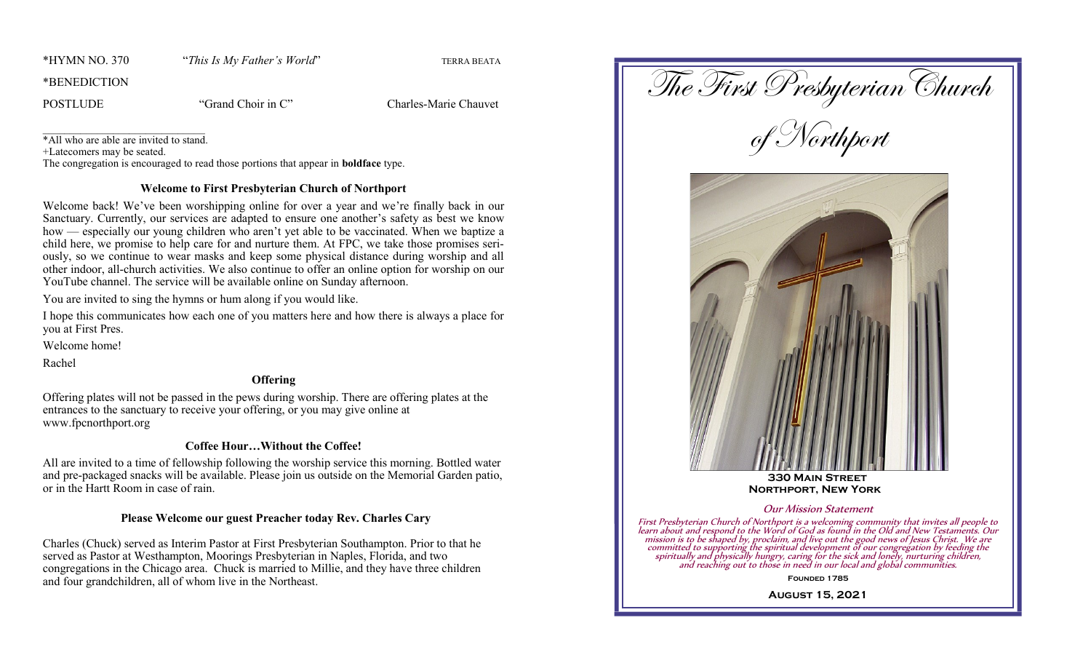\*HYMN NO. 370 "*This Is My Father's World*" TERRA BEATA

\*BENEDICTION

POSTLUDE "Grand Choir in C" Charles-Marie Chauvet

\_\_\_\_\_\_\_\_\_\_\_\_\_\_\_\_\_\_\_\_\_\_\_\_\_\_\_\_\_\_ \*All who are able are invited to stand.

+Latecomers may be seated.

The congregation is encouraged to read those portions that appear in **boldface** type.

## **Welcome to First Presbyterian Church of Northport**

Welcome back! We've been worshipping online for over a year and we're finally back in our Sanctuary. Currently, our services are adapted to ensure one another's safety as best we know how — especially our young children who aren't yet able to be vaccinated. When we baptize a child here, we promise to help care for and nurture them. At FPC, we take those promises seriously, so we continue to wear masks and keep some physical distance during worship and all other indoor, all-church activities. We also continue to offer an online option for worship on our YouTube channel. The service will be available online on Sunday afternoon.

You are invited to sing the hymns or hum along if you would like.

I hope this communicates how each one of you matters here and how there is always a place for you at First Pres.

Welcome home!

Rachel

## **Offering**

Offering plates will not be passed in the pews during worship. There are offering plates at the entrances to the sanctuary to receive your offering, or you may give online at www.fpcnorthport.org

# **Coffee Hour…Without the Coffee!**

All are invited to a time of fellowship following the worship service this morning. Bottled water and pre-packaged snacks will be available. Please join us outside on the Memorial Garden patio, or in the Hartt Room in case of rain.

# **Please Welcome our guest Preacher today Rev. Charles Cary**

Charles (Chuck) served as Interim Pastor at First Presbyterian Southampton. Prior to that he served as Pastor at Westhampton, Moorings Presbyterian in Naples, Florida, and two congregations in the Chicago area. Chuck is married to Millie, and they have three children and four grandchildren, all of whom live in the Northeast.